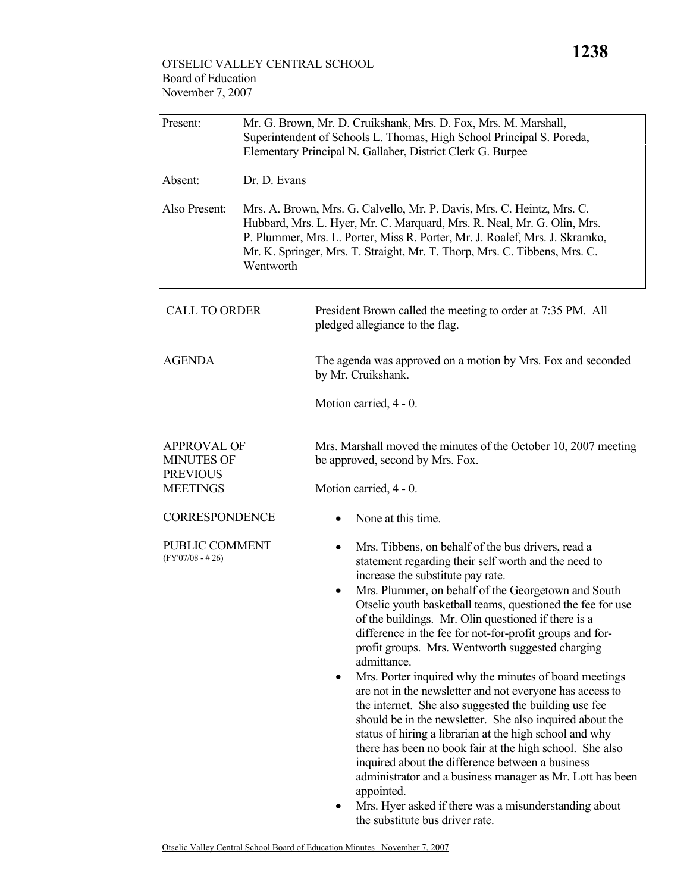| Present:                                                                      | Mr. G. Brown, Mr. D. Cruikshank, Mrs. D. Fox, Mrs. M. Marshall,<br>Superintendent of Schools L. Thomas, High School Principal S. Poreda,<br>Elementary Principal N. Gallaher, District Clerk G. Burpee                                                                                                                     |                                                                                                                                                                                                                                                                                                                                                                                                                                                                                                                                                                                                                                                                                                                                                                                                                                                                                                                                                                                                                                                                   |
|-------------------------------------------------------------------------------|----------------------------------------------------------------------------------------------------------------------------------------------------------------------------------------------------------------------------------------------------------------------------------------------------------------------------|-------------------------------------------------------------------------------------------------------------------------------------------------------------------------------------------------------------------------------------------------------------------------------------------------------------------------------------------------------------------------------------------------------------------------------------------------------------------------------------------------------------------------------------------------------------------------------------------------------------------------------------------------------------------------------------------------------------------------------------------------------------------------------------------------------------------------------------------------------------------------------------------------------------------------------------------------------------------------------------------------------------------------------------------------------------------|
| Absent:                                                                       | Dr. D. Evans                                                                                                                                                                                                                                                                                                               |                                                                                                                                                                                                                                                                                                                                                                                                                                                                                                                                                                                                                                                                                                                                                                                                                                                                                                                                                                                                                                                                   |
| Also Present:                                                                 | Mrs. A. Brown, Mrs. G. Calvello, Mr. P. Davis, Mrs. C. Heintz, Mrs. C.<br>Hubbard, Mrs. L. Hyer, Mr. C. Marquard, Mrs. R. Neal, Mr. G. Olin, Mrs.<br>P. Plummer, Mrs. L. Porter, Miss R. Porter, Mr. J. Roalef, Mrs. J. Skramko,<br>Mr. K. Springer, Mrs. T. Straight, Mr. T. Thorp, Mrs. C. Tibbens, Mrs. C.<br>Wentworth |                                                                                                                                                                                                                                                                                                                                                                                                                                                                                                                                                                                                                                                                                                                                                                                                                                                                                                                                                                                                                                                                   |
| <b>CALL TO ORDER</b>                                                          |                                                                                                                                                                                                                                                                                                                            | President Brown called the meeting to order at 7:35 PM. All<br>pledged allegiance to the flag.                                                                                                                                                                                                                                                                                                                                                                                                                                                                                                                                                                                                                                                                                                                                                                                                                                                                                                                                                                    |
| <b>AGENDA</b>                                                                 |                                                                                                                                                                                                                                                                                                                            | The agenda was approved on a motion by Mrs. Fox and seconded<br>by Mr. Cruikshank.                                                                                                                                                                                                                                                                                                                                                                                                                                                                                                                                                                                                                                                                                                                                                                                                                                                                                                                                                                                |
|                                                                               |                                                                                                                                                                                                                                                                                                                            | Motion carried, 4 - 0.                                                                                                                                                                                                                                                                                                                                                                                                                                                                                                                                                                                                                                                                                                                                                                                                                                                                                                                                                                                                                                            |
| <b>APPROVAL OF</b><br><b>MINUTES OF</b><br><b>PREVIOUS</b><br><b>MEETINGS</b> |                                                                                                                                                                                                                                                                                                                            | Mrs. Marshall moved the minutes of the October 10, 2007 meeting<br>be approved, second by Mrs. Fox.<br>Motion carried, 4 - 0.                                                                                                                                                                                                                                                                                                                                                                                                                                                                                                                                                                                                                                                                                                                                                                                                                                                                                                                                     |
| <b>CORRESPONDENCE</b>                                                         |                                                                                                                                                                                                                                                                                                                            | None at this time.                                                                                                                                                                                                                                                                                                                                                                                                                                                                                                                                                                                                                                                                                                                                                                                                                                                                                                                                                                                                                                                |
| PUBLIC COMMENT<br>$(FY'07/08 - #26)$                                          |                                                                                                                                                                                                                                                                                                                            | Mrs. Tibbens, on behalf of the bus drivers, read a<br>٠<br>statement regarding their self worth and the need to<br>increase the substitute pay rate.<br>Mrs. Plummer, on behalf of the Georgetown and South<br>Otselic youth basketball teams, questioned the fee for use<br>of the buildings. Mr. Olin questioned if there is a<br>difference in the fee for not-for-profit groups and for-<br>profit groups. Mrs. Wentworth suggested charging<br>admittance.<br>Mrs. Porter inquired why the minutes of board meetings<br>٠<br>are not in the newsletter and not everyone has access to<br>the internet. She also suggested the building use fee<br>should be in the newsletter. She also inquired about the<br>status of hiring a librarian at the high school and why<br>there has been no book fair at the high school. She also<br>inquired about the difference between a business<br>administrator and a business manager as Mr. Lott has been<br>appointed.<br>Mrs. Hyer asked if there was a misunderstanding about<br>the substitute bus driver rate. |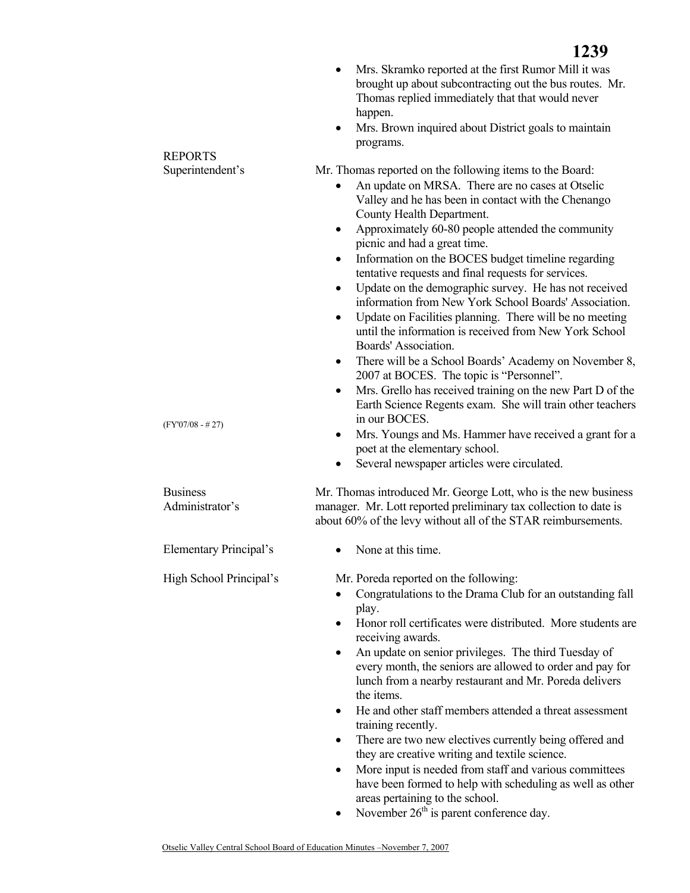|                                                          | Mrs. Skramko reported at the first Rumor Mill it was<br>brought up about subcontracting out the bus routes. Mr.<br>Thomas replied immediately that that would never<br>happen.<br>Mrs. Brown inquired about District goals to maintain<br>٠<br>programs.                                                                                                                                                                                                                                                                                                                                                                                                                                                                                                                                                                                                                                                                                                                                                                                                                     |
|----------------------------------------------------------|------------------------------------------------------------------------------------------------------------------------------------------------------------------------------------------------------------------------------------------------------------------------------------------------------------------------------------------------------------------------------------------------------------------------------------------------------------------------------------------------------------------------------------------------------------------------------------------------------------------------------------------------------------------------------------------------------------------------------------------------------------------------------------------------------------------------------------------------------------------------------------------------------------------------------------------------------------------------------------------------------------------------------------------------------------------------------|
| <b>REPORTS</b><br>Superintendent's<br>$(FY'07/08 - #27)$ | Mr. Thomas reported on the following items to the Board:<br>An update on MRSA. There are no cases at Otselic<br>٠<br>Valley and he has been in contact with the Chenango<br>County Health Department.<br>Approximately 60-80 people attended the community<br>$\bullet$<br>picnic and had a great time.<br>Information on the BOCES budget timeline regarding<br>$\bullet$<br>tentative requests and final requests for services.<br>Update on the demographic survey. He has not received<br>$\bullet$<br>information from New York School Boards' Association.<br>Update on Facilities planning. There will be no meeting<br>$\bullet$<br>until the information is received from New York School<br>Boards' Association.<br>There will be a School Boards' Academy on November 8,<br>$\bullet$<br>2007 at BOCES. The topic is "Personnel".<br>Mrs. Grello has received training on the new Part D of the<br>$\bullet$<br>Earth Science Regents exam. She will train other teachers<br>in our BOCES.<br>Mrs. Youngs and Ms. Hammer have received a grant for a<br>$\bullet$ |
|                                                          | poet at the elementary school.<br>Several newspaper articles were circulated.                                                                                                                                                                                                                                                                                                                                                                                                                                                                                                                                                                                                                                                                                                                                                                                                                                                                                                                                                                                                |
| <b>Business</b><br>Administrator's                       | Mr. Thomas introduced Mr. George Lott, who is the new business<br>manager. Mr. Lott reported preliminary tax collection to date is<br>about 60% of the levy without all of the STAR reimbursements.                                                                                                                                                                                                                                                                                                                                                                                                                                                                                                                                                                                                                                                                                                                                                                                                                                                                          |
| Elementary Principal's                                   | None at this time.                                                                                                                                                                                                                                                                                                                                                                                                                                                                                                                                                                                                                                                                                                                                                                                                                                                                                                                                                                                                                                                           |
| High School Principal's                                  | Mr. Poreda reported on the following:<br>Congratulations to the Drama Club for an outstanding fall<br>play.<br>Honor roll certificates were distributed. More students are<br>$\bullet$<br>receiving awards.<br>An update on senior privileges. The third Tuesday of<br>every month, the seniors are allowed to order and pay for<br>lunch from a nearby restaurant and Mr. Poreda delivers<br>the items.<br>He and other staff members attended a threat assessment<br>$\bullet$<br>training recently.<br>There are two new electives currently being offered and<br>they are creative writing and textile science.<br>More input is needed from staff and various committees<br>٠<br>have been formed to help with scheduling as well as other<br>areas pertaining to the school.<br>November 26 <sup>th</sup> is parent conference day.<br>٠                                                                                                                                                                                                                              |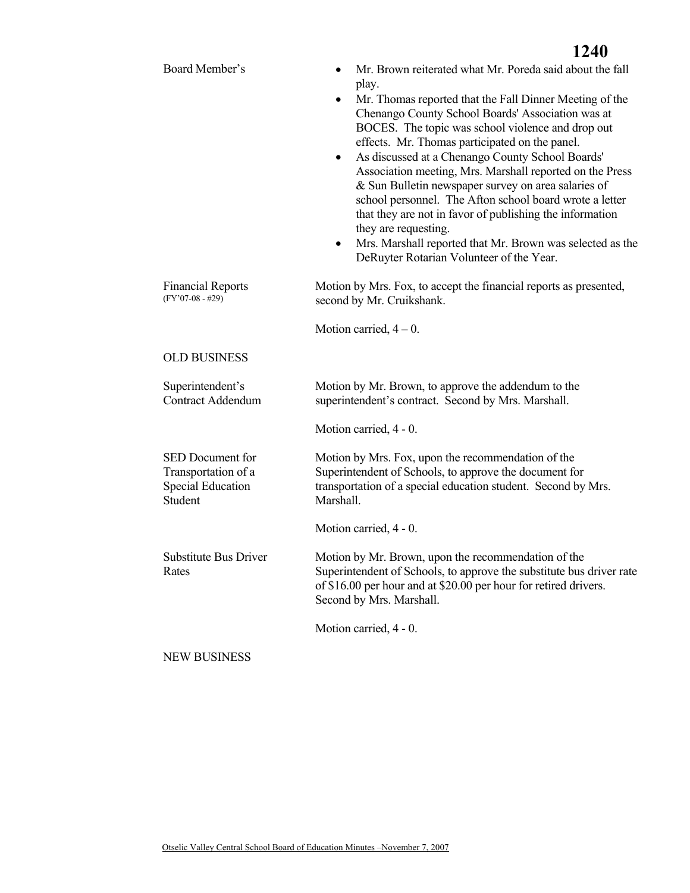| Board Member's                                                                 | Mr. Brown reiterated what Mr. Poreda said about the fall<br>play.<br>Mr. Thomas reported that the Fall Dinner Meeting of the<br>$\bullet$<br>Chenango County School Boards' Association was at<br>BOCES. The topic was school violence and drop out<br>effects. Mr. Thomas participated on the panel.<br>As discussed at a Chenango County School Boards'<br>$\bullet$<br>Association meeting, Mrs. Marshall reported on the Press<br>& Sun Bulletin newspaper survey on area salaries of<br>school personnel. The Afton school board wrote a letter<br>that they are not in favor of publishing the information<br>they are requesting.<br>Mrs. Marshall reported that Mr. Brown was selected as the<br>$\bullet$<br>DeRuyter Rotarian Volunteer of the Year. |
|--------------------------------------------------------------------------------|----------------------------------------------------------------------------------------------------------------------------------------------------------------------------------------------------------------------------------------------------------------------------------------------------------------------------------------------------------------------------------------------------------------------------------------------------------------------------------------------------------------------------------------------------------------------------------------------------------------------------------------------------------------------------------------------------------------------------------------------------------------|
| <b>Financial Reports</b><br>$(FY'07-08 - #29)$                                 | Motion by Mrs. Fox, to accept the financial reports as presented,<br>second by Mr. Cruikshank.                                                                                                                                                                                                                                                                                                                                                                                                                                                                                                                                                                                                                                                                 |
|                                                                                | Motion carried, $4 - 0$ .                                                                                                                                                                                                                                                                                                                                                                                                                                                                                                                                                                                                                                                                                                                                      |
| <b>OLD BUSINESS</b>                                                            |                                                                                                                                                                                                                                                                                                                                                                                                                                                                                                                                                                                                                                                                                                                                                                |
| Superintendent's<br><b>Contract Addendum</b>                                   | Motion by Mr. Brown, to approve the addendum to the<br>superintendent's contract. Second by Mrs. Marshall.                                                                                                                                                                                                                                                                                                                                                                                                                                                                                                                                                                                                                                                     |
|                                                                                | Motion carried, 4 - 0.                                                                                                                                                                                                                                                                                                                                                                                                                                                                                                                                                                                                                                                                                                                                         |
| SED Document for<br>Transportation of a<br><b>Special Education</b><br>Student | Motion by Mrs. Fox, upon the recommendation of the<br>Superintendent of Schools, to approve the document for<br>transportation of a special education student. Second by Mrs.<br>Marshall.                                                                                                                                                                                                                                                                                                                                                                                                                                                                                                                                                                     |
|                                                                                | Motion carried, 4 - 0.                                                                                                                                                                                                                                                                                                                                                                                                                                                                                                                                                                                                                                                                                                                                         |
| <b>Substitute Bus Driver</b><br>Rates                                          | Motion by Mr. Brown, upon the recommendation of the<br>Superintendent of Schools, to approve the substitute bus driver rate<br>of \$16.00 per hour and at \$20.00 per hour for retired drivers.<br>Second by Mrs. Marshall.                                                                                                                                                                                                                                                                                                                                                                                                                                                                                                                                    |
|                                                                                | Motion carried, 4 - 0.                                                                                                                                                                                                                                                                                                                                                                                                                                                                                                                                                                                                                                                                                                                                         |
| <b>NEW BUSINESS</b>                                                            |                                                                                                                                                                                                                                                                                                                                                                                                                                                                                                                                                                                                                                                                                                                                                                |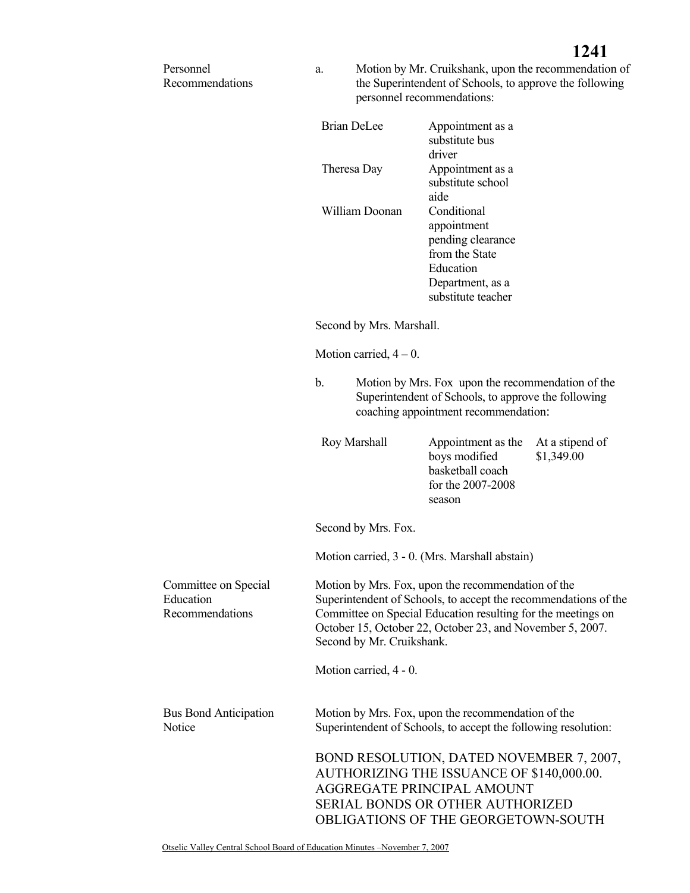Personnel Recommendations a. Motion by Mr. Cruikshank, upon the recommendation of the Superintendent of Schools, to approve the following personnel recommendations: Brian DeLee Appointment as a substitute bus driver Theresa Day Appointment as a substitute school aide William Doonan Conditional appointment pending clearance from the State Education Department, as a substitute teacher Second by Mrs. Marshall. Motion carried,  $4 - 0$ . b. Motion by Mrs. Fox upon the recommendation of the Superintendent of Schools, to approve the following coaching appointment recommendation: Roy Marshall Appointment as the At a stipend of boys modified basketball coach for the 2007-2008 season \$1,349.00 Second by Mrs. Fox. Motion carried, 3 - 0. (Mrs. Marshall abstain) Committee on Special **Education** Recommendations Motion by Mrs. Fox, upon the recommendation of the Superintendent of Schools, to accept the recommendations of the Committee on Special Education resulting for the meetings on October 15, October 22, October 23, and November 5, 2007. Second by Mr. Cruikshank. Motion carried, 4 - 0. Bus Bond Anticipation **Notice**  Motion by Mrs. Fox, upon the recommendation of the Superintendent of Schools, to accept the following resolution: BOND RESOLUTION, DATED NOVEMBER 7, 2007, AUTHORIZING THE ISSUANCE OF \$140,000.00. AGGREGATE PRINCIPAL AMOUNT SERIAL BONDS OR OTHER AUTHORIZED

OBLIGATIONS OF THE GEORGETOWN-SOUTH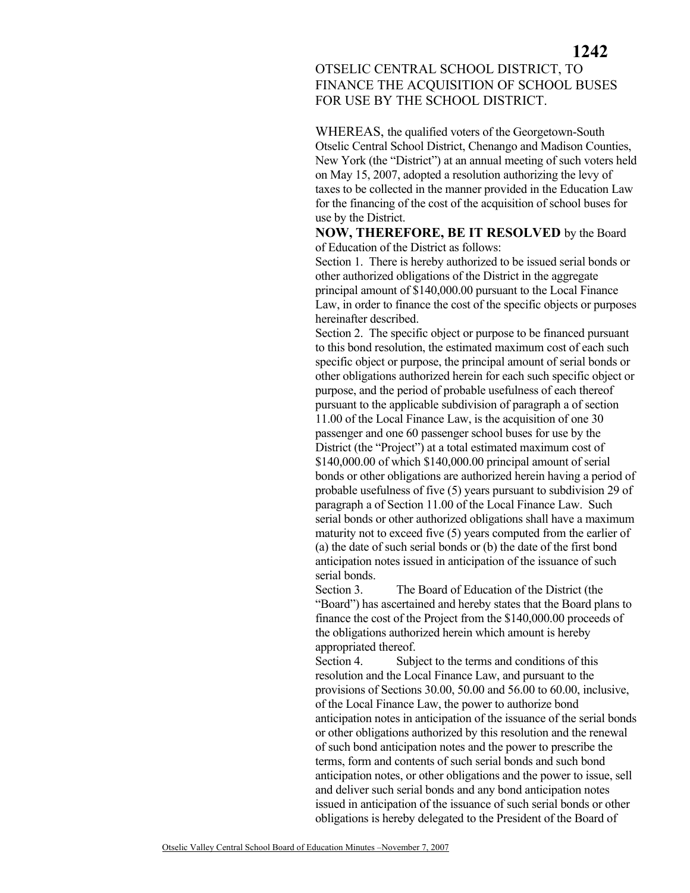## OTSELIC CENTRAL SCHOOL DISTRICT, TO FINANCE THE ACQUISITION OF SCHOOL BUSES FOR USE BY THE SCHOOL DISTRICT.

WHEREAS, the qualified voters of the Georgetown-South Otselic Central School District, Chenango and Madison Counties, New York (the "District") at an annual meeting of such voters held on May 15, 2007, adopted a resolution authorizing the levy of taxes to be collected in the manner provided in the Education Law for the financing of the cost of the acquisition of school buses for use by the District.

**NOW, THEREFORE, BE IT RESOLVED** by the Board of Education of the District as follows:

Section 1. There is hereby authorized to be issued serial bonds or other authorized obligations of the District in the aggregate principal amount of \$140,000.00 pursuant to the Local Finance Law, in order to finance the cost of the specific objects or purposes hereinafter described.

Section 2. The specific object or purpose to be financed pursuant to this bond resolution, the estimated maximum cost of each such specific object or purpose, the principal amount of serial bonds or other obligations authorized herein for each such specific object or purpose, and the period of probable usefulness of each thereof pursuant to the applicable subdivision of paragraph a of section 11.00 of the Local Finance Law, is the acquisition of one 30 passenger and one 60 passenger school buses for use by the District (the "Project") at a total estimated maximum cost of \$140,000.00 of which \$140,000.00 principal amount of serial bonds or other obligations are authorized herein having a period of probable usefulness of five (5) years pursuant to subdivision 29 of paragraph a of Section 11.00 of the Local Finance Law. Such serial bonds or other authorized obligations shall have a maximum maturity not to exceed five (5) years computed from the earlier of (a) the date of such serial bonds or (b) the date of the first bond anticipation notes issued in anticipation of the issuance of such serial bonds.

Section 3. The Board of Education of the District (the "Board") has ascertained and hereby states that the Board plans to finance the cost of the Project from the \$140,000.00 proceeds of the obligations authorized herein which amount is hereby appropriated thereof.

Section 4. Subject to the terms and conditions of this resolution and the Local Finance Law, and pursuant to the provisions of Sections 30.00, 50.00 and 56.00 to 60.00, inclusive, of the Local Finance Law, the power to authorize bond anticipation notes in anticipation of the issuance of the serial bonds or other obligations authorized by this resolution and the renewal of such bond anticipation notes and the power to prescribe the terms, form and contents of such serial bonds and such bond anticipation notes, or other obligations and the power to issue, sell and deliver such serial bonds and any bond anticipation notes issued in anticipation of the issuance of such serial bonds or other obligations is hereby delegated to the President of the Board of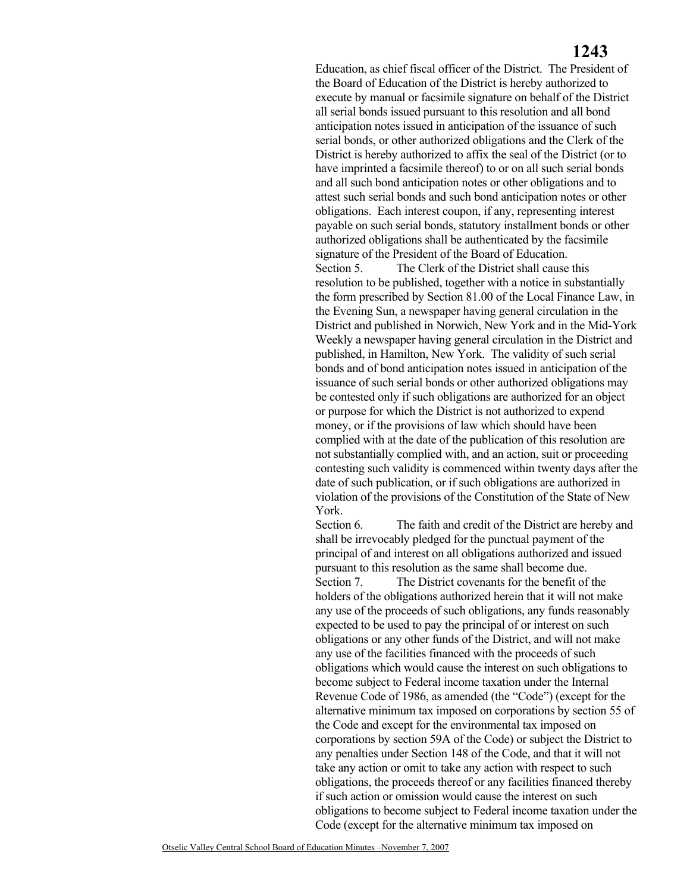## **1243**

Education, as chief fiscal officer of the District. The President of the Board of Education of the District is hereby authorized to execute by manual or facsimile signature on behalf of the District all serial bonds issued pursuant to this resolution and all bond anticipation notes issued in anticipation of the issuance of such serial bonds, or other authorized obligations and the Clerk of the District is hereby authorized to affix the seal of the District (or to have imprinted a facsimile thereof) to or on all such serial bonds and all such bond anticipation notes or other obligations and to attest such serial bonds and such bond anticipation notes or other obligations. Each interest coupon, if any, representing interest payable on such serial bonds, statutory installment bonds or other authorized obligations shall be authenticated by the facsimile signature of the President of the Board of Education.

Section 5. The Clerk of the District shall cause this resolution to be published, together with a notice in substantially the form prescribed by Section 81.00 of the Local Finance Law, in the Evening Sun, a newspaper having general circulation in the District and published in Norwich, New York and in the Mid-York Weekly a newspaper having general circulation in the District and published, in Hamilton, New York. The validity of such serial bonds and of bond anticipation notes issued in anticipation of the issuance of such serial bonds or other authorized obligations may be contested only if such obligations are authorized for an object or purpose for which the District is not authorized to expend money, or if the provisions of law which should have been complied with at the date of the publication of this resolution are not substantially complied with, and an action, suit or proceeding contesting such validity is commenced within twenty days after the date of such publication, or if such obligations are authorized in violation of the provisions of the Constitution of the State of New York.

Section 6. The faith and credit of the District are hereby and shall be irrevocably pledged for the punctual payment of the principal of and interest on all obligations authorized and issued pursuant to this resolution as the same shall become due. Section 7. The District covenants for the benefit of the holders of the obligations authorized herein that it will not make any use of the proceeds of such obligations, any funds reasonably expected to be used to pay the principal of or interest on such obligations or any other funds of the District, and will not make any use of the facilities financed with the proceeds of such obligations which would cause the interest on such obligations to become subject to Federal income taxation under the Internal Revenue Code of 1986, as amended (the "Code") (except for the alternative minimum tax imposed on corporations by section 55 of the Code and except for the environmental tax imposed on corporations by section 59A of the Code) or subject the District to any penalties under Section 148 of the Code, and that it will not take any action or omit to take any action with respect to such obligations, the proceeds thereof or any facilities financed thereby if such action or omission would cause the interest on such obligations to become subject to Federal income taxation under the Code (except for the alternative minimum tax imposed on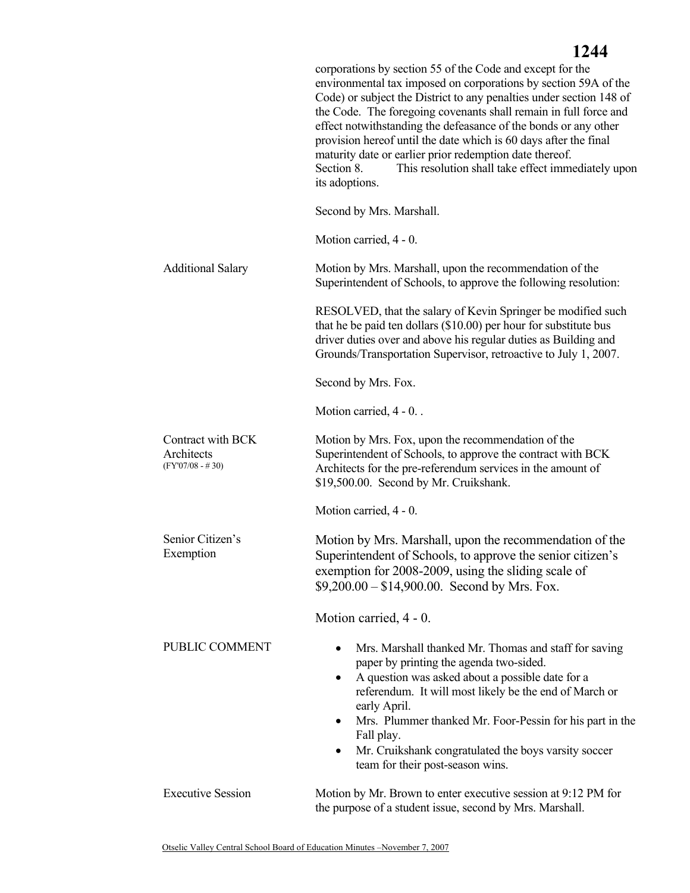## **1244** corporations by section 55 of the Code and except for the environmental tax imposed on corporations by section 59A of the Code) or subject the District to any penalties under section 148 of the Code. The foregoing covenants shall remain in full force and effect notwithstanding the defeasance of the bonds or any other provision hereof until the date which is 60 days after the final maturity date or earlier prior redemption date thereof. Section 8. This resolution shall take effect immediately upon its adoptions. Second by Mrs. Marshall. Motion carried, 4 - 0. Additional Salary Motion by Mrs. Marshall, upon the recommendation of the Superintendent of Schools, to approve the following resolution: RESOLVED, that the salary of Kevin Springer be modified such that he be paid ten dollars (\$10.00) per hour for substitute bus driver duties over and above his regular duties as Building and Grounds/Transportation Supervisor, retroactive to July 1, 2007. Second by Mrs. Fox. Motion carried,  $4 - 0$ . Contract with BCK **Architects** (FY'07/08 - # 30) Motion by Mrs. Fox, upon the recommendation of the Superintendent of Schools, to approve the contract with BCK Architects for the pre-referendum services in the amount of \$19,500.00. Second by Mr. Cruikshank. Motion carried, 4 - 0. Senior Citizen's Exemption Motion by Mrs. Marshall, upon the recommendation of the Superintendent of Schools, to approve the senior citizen's exemption for 2008-2009, using the sliding scale of \$9,200.00 – \$14,900.00. Second by Mrs. Fox. Motion carried, 4 - 0. PUBLIC COMMENT • Mrs. Marshall thanked Mr. Thomas and staff for saving paper by printing the agenda two-sided. • A question was asked about a possible date for a referendum. It will most likely be the end of March or early April. • Mrs. Plummer thanked Mr. Foor-Pessin for his part in the Fall play. • Mr. Cruikshank congratulated the boys varsity soccer team for their post-season wins. Executive Session Motion by Mr. Brown to enter executive session at 9:12 PM for

the purpose of a student issue, second by Mrs. Marshall.